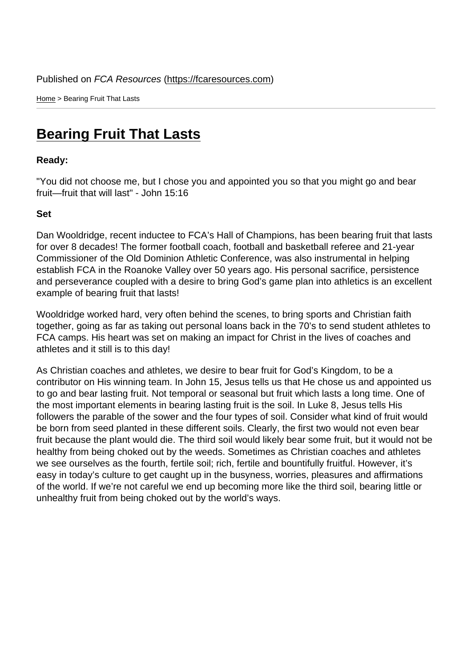Home > Bearing Fruit That Lasts

## [Bea](https://fcaresources.com/)ring Fruit That Lasts

Ready:

["You did not choose me, but I chose yo](https://fcaresources.com/devotional/bearing-fruit-lasts-0)u and appointed you so that you might go and bear fruit—fruit that will last" - John 15:16

Set

Dan Wooldridge, recent inductee to FCA's Hall of Champions, has been bearing fruit that lasts for over 8 decades! The former football coach, football and basketball referee and 21-year Commissioner of the Old Dominion Athletic Conference, was also instrumental in helping establish FCA in the Roanoke Valley over 50 years ago. His personal sacrifice, persistence and perseverance coupled with a desire to bring God's game plan into athletics is an excellent example of bearing fruit that lasts!

Wooldridge worked hard, very often behind the scenes, to bring sports and Christian faith together, going as far as taking out personal loans back in the 70's to send student athletes to FCA camps. His heart was set on making an impact for Christ in the lives of coaches and athletes and it still is to this day!

As Christian coaches and athletes, we desire to bear fruit for God's Kingdom, to be a contributor on His winning team. In John 15, Jesus tells us that He chose us and appointed us to go and bear lasting fruit. Not temporal or seasonal but fruit which lasts a long time. One of the most important elements in bearing lasting fruit is the soil. In Luke 8, Jesus tells His followers the parable of the sower and the four types of soil. Consider what kind of fruit would be born from seed planted in these different soils. Clearly, the first two would not even bear fruit because the plant would die. The third soil would likely bear some fruit, but it would not be healthy from being choked out by the weeds. Sometimes as Christian coaches and athletes we see ourselves as the fourth, fertile soil; rich, fertile and bountifully fruitful. However, it's easy in today's culture to get caught up in the busyness, worries, pleasures and affirmations of the world. If we're not careful we end up becoming more like the third soil, bearing little or unhealthy fruit from being choked out by the world's ways.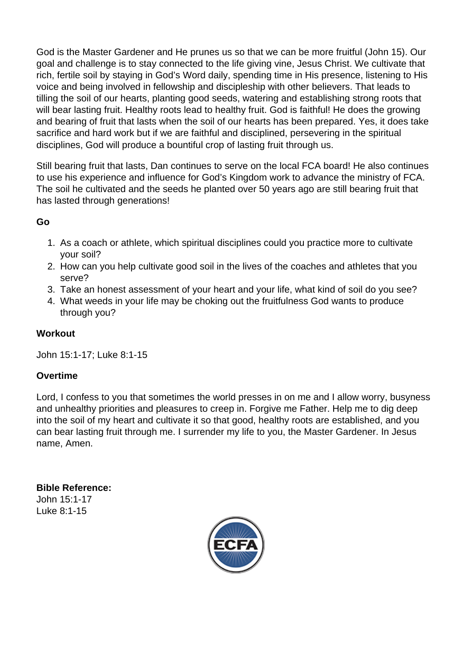God is the Master Gardener and He prunes us so that we can be more fruitful (John 15). Our goal and challenge is to stay connected to the life giving vine, Jesus Christ. We cultivate that rich, fertile soil by staying in God's Word daily, spending time in His presence, listening to His voice and being involved in fellowship and discipleship with other believers. That leads to tilling the soil of our hearts, planting good seeds, watering and establishing strong roots that will bear lasting fruit. Healthy roots lead to healthy fruit. God is faithful! He does the growing and bearing of fruit that lasts when the soil of our hearts has been prepared. Yes, it does take sacrifice and hard work but if we are faithful and disciplined, persevering in the spiritual disciplines, God will produce a bountiful crop of lasting fruit through us.

Still bearing fruit that lasts, Dan continues to serve on the local FCA board! He also continues to use his experience and influence for God's Kingdom work to advance the ministry of FCA. The soil he cultivated and the seeds he planted over 50 years ago are still bearing fruit that has lasted through generations!

Go

- 1. As a coach or athlete, which spiritual disciplines could you practice more to cultivate your soil?
- 2. How can you help cultivate good soil in the lives of the coaches and athletes that you serve?
- 3. Take an honest assessment of your heart and your life, what kind of soil do you see?
- 4. What weeds in your life may be choking out the fruitfulness God wants to produce through you?

## Workout

John 15:1-17; Luke 8:1-15

## Overtime

Lord, I confess to you that sometimes the world presses in on me and I allow worry, busyness and unhealthy priorities and pleasures to creep in. Forgive me Father. Help me to dig deep into the soil of my heart and cultivate it so that good, healthy roots are established, and you can bear lasting fruit through me. I surrender my life to you, the Master Gardener. In Jesus name, Amen.

Bible Reference: John 15:1-17 Luke 8:1-15